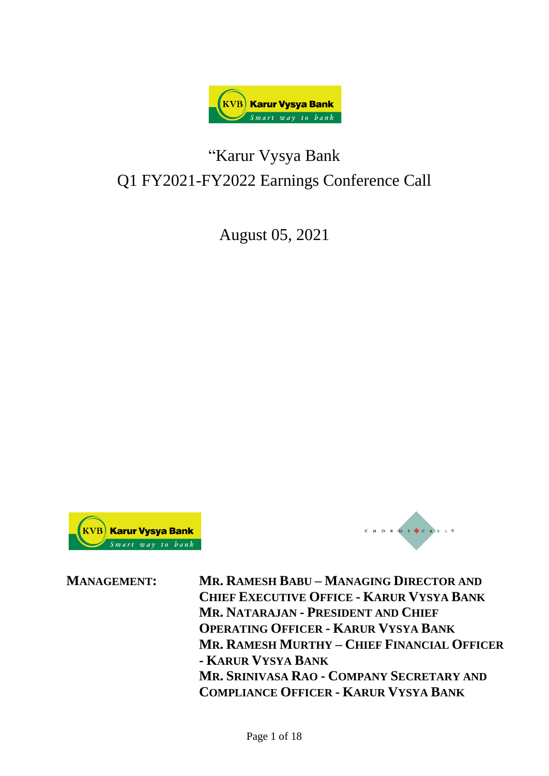

# "Karur Vysya Bank Q1 FY2021-FY2022 Earnings Conference Call

August 05, 2021





**MANAGEMENT: MR. RAMESH BABU – MANAGING DIRECTOR AND CHIEF EXECUTIVE OFFICE - KARUR VYSYA BANK MR. NATARAJAN - PRESIDENT AND CHIEF OPERATING OFFICER - KARUR VYSYA BANK MR. RAMESH MURTHY – CHIEF FINANCIAL OFFICER - KARUR VYSYA BANK MR. SRINIVASA RAO - COMPANY SECRETARY AND COMPLIANCE OFFICER - KARUR VYSYA BANK**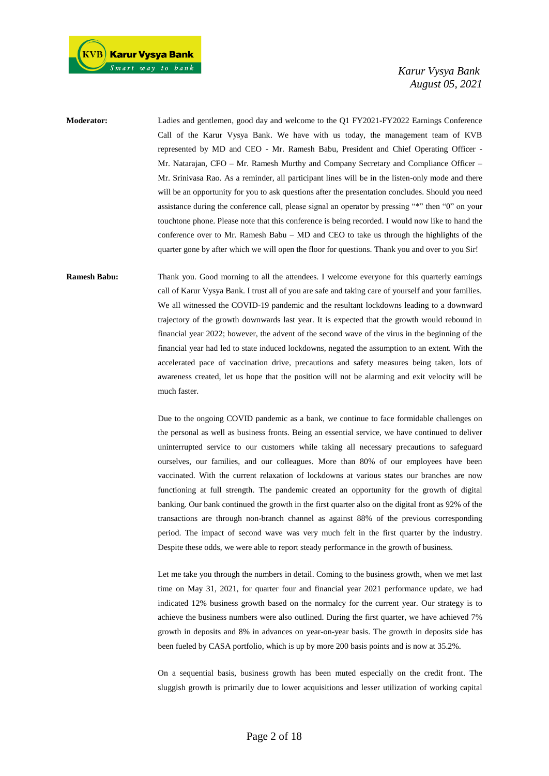

**Moderator:** Ladies and gentlemen, good day and welcome to the Q1 FY2021-FY2022 Earnings Conference Call of the Karur Vysya Bank. We have with us today, the management team of KVB represented by MD and CEO - Mr. Ramesh Babu, President and Chief Operating Officer - Mr. Natarajan, CFO – Mr. Ramesh Murthy and Company Secretary and Compliance Officer – Mr. Srinivasa Rao. As a reminder, all participant lines will be in the listen-only mode and there will be an opportunity for you to ask questions after the presentation concludes. Should you need assistance during the conference call, please signal an operator by pressing "\*" then "0" on your touchtone phone. Please note that this conference is being recorded. I would now like to hand the conference over to Mr. Ramesh Babu – MD and CEO to take us through the highlights of the quarter gone by after which we will open the floor for questions. Thank you and over to you Sir!

**Ramesh Babu:** Thank you. Good morning to all the attendees. I welcome everyone for this quarterly earnings call of Karur Vysya Bank. I trust all of you are safe and taking care of yourself and your families. We all witnessed the COVID-19 pandemic and the resultant lockdowns leading to a downward trajectory of the growth downwards last year. It is expected that the growth would rebound in financial year 2022; however, the advent of the second wave of the virus in the beginning of the financial year had led to state induced lockdowns, negated the assumption to an extent. With the accelerated pace of vaccination drive, precautions and safety measures being taken, lots of awareness created, let us hope that the position will not be alarming and exit velocity will be much faster.

> Due to the ongoing COVID pandemic as a bank, we continue to face formidable challenges on the personal as well as business fronts. Being an essential service, we have continued to deliver uninterrupted service to our customers while taking all necessary precautions to safeguard ourselves, our families, and our colleagues. More than 80% of our employees have been vaccinated. With the current relaxation of lockdowns at various states our branches are now functioning at full strength. The pandemic created an opportunity for the growth of digital banking. Our bank continued the growth in the first quarter also on the digital front as 92% of the transactions are through non-branch channel as against 88% of the previous corresponding period. The impact of second wave was very much felt in the first quarter by the industry. Despite these odds, we were able to report steady performance in the growth of business.

> Let me take you through the numbers in detail. Coming to the business growth, when we met last time on May 31, 2021, for quarter four and financial year 2021 performance update, we had indicated 12% business growth based on the normalcy for the current year. Our strategy is to achieve the business numbers were also outlined. During the first quarter, we have achieved 7% growth in deposits and 8% in advances on year-on-year basis. The growth in deposits side has been fueled by CASA portfolio, which is up by more 200 basis points and is now at 35.2%.

> On a sequential basis, business growth has been muted especially on the credit front. The sluggish growth is primarily due to lower acquisitions and lesser utilization of working capital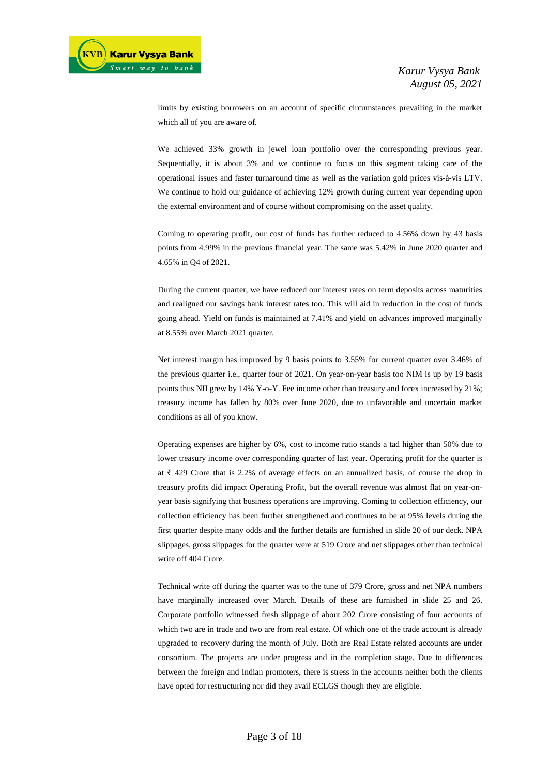limits by existing borrowers on an account of specific circumstances prevailing in the market which all of you are aware of.

We achieved 33% growth in jewel loan portfolio over the corresponding previous year. Sequentially, it is about 3% and we continue to focus on this segment taking care of the operational issues and faster turnaround time as well as the variation gold prices vis-à-vis LTV. We continue to hold our guidance of achieving 12% growth during current year depending upon the external environment and of course without compromising on the asset quality.

Coming to operating profit, our cost of funds has further reduced to 4.56% down by 43 basis points from 4.99% in the previous financial year. The same was 5.42% in June 2020 quarter and 4.65% in Q4 of 2021.

During the current quarter, we have reduced our interest rates on term deposits across maturities and realigned our savings bank interest rates too. This will aid in reduction in the cost of funds going ahead. Yield on funds is maintained at 7.41% and yield on advances improved marginally at 8.55% over March 2021 quarter.

Net interest margin has improved by 9 basis points to 3.55% for current quarter over 3.46% of the previous quarter i.e., quarter four of 2021. On year-on-year basis too NIM is up by 19 basis points thus NII grew by 14% Y-o-Y. Fee income other than treasury and forex increased by 21%; treasury income has fallen by 80% over June 2020, due to unfavorable and uncertain market conditions as all of you know.

Operating expenses are higher by 6%, cost to income ratio stands a tad higher than 50% due to lower treasury income over corresponding quarter of last year. Operating profit for the quarter is at  $\bar{\tau}$  429 Crore that is 2.2% of average effects on an annualized basis, of course the drop in treasury profits did impact Operating Profit, but the overall revenue was almost flat on year-onyear basis signifying that business operations are improving. Coming to collection efficiency, our collection efficiency has been further strengthened and continues to be at 95% levels during the first quarter despite many odds and the further details are furnished in slide 20 of our deck. NPA slippages, gross slippages for the quarter were at 519 Crore and net slippages other than technical write off 404 Crore.

Technical write off during the quarter was to the tune of 379 Crore, gross and net NPA numbers have marginally increased over March. Details of these are furnished in slide 25 and 26. Corporate portfolio witnessed fresh slippage of about 202 Crore consisting of four accounts of which two are in trade and two are from real estate. Of which one of the trade account is already upgraded to recovery during the month of July. Both are Real Estate related accounts are under consortium. The projects are under progress and in the completion stage. Due to differences between the foreign and Indian promoters, there is stress in the accounts neither both the clients have opted for restructuring nor did they avail ECLGS though they are eligible.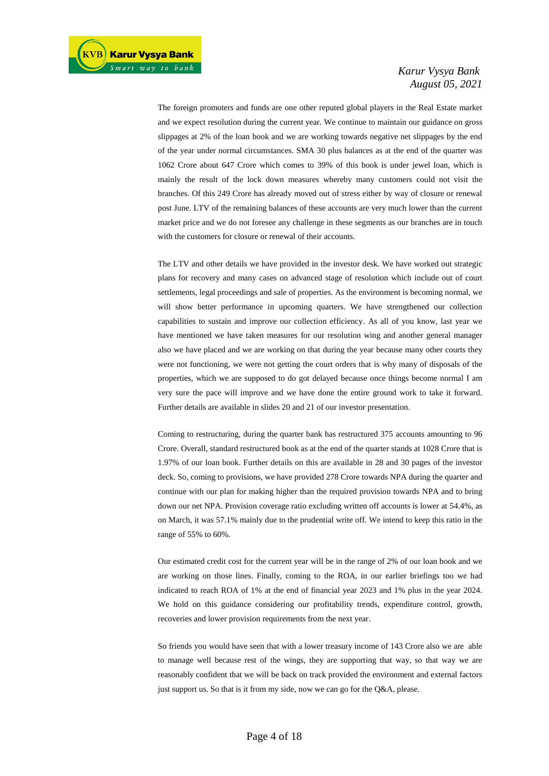The foreign promoters and funds are one other reputed global players in the Real Estate market and we expect resolution during the current year. We continue to maintain our guidance on gross slippages at 2% of the loan book and we are working towards negative net slippages by the end of the year under normal circumstances. SMA 30 plus balances as at the end of the quarter was 1062 Crore about 647 Crore which comes to 39% of this book is under jewel loan, which is mainly the result of the lock down measures whereby many customers could not visit the branches. Of this 249 Crore has already moved out of stress either by way of closure or renewal post June. LTV of the remaining balances of these accounts are very much lower than the current market price and we do not foresee any challenge in these segments as our branches are in touch with the customers for closure or renewal of their accounts.

The LTV and other details we have provided in the investor desk. We have worked out strategic plans for recovery and many cases on advanced stage of resolution which include out of court settlements, legal proceedings and sale of properties. As the environment is becoming normal, we will show better performance in upcoming quarters. We have strengthened our collection capabilities to sustain and improve our collection efficiency. As all of you know, last year we have mentioned we have taken measures for our resolution wing and another general manager also we have placed and we are working on that during the year because many other courts they were not functioning, we were not getting the court orders that is why many of disposals of the properties, which we are supposed to do got delayed because once things become normal I am very sure the pace will improve and we have done the entire ground work to take it forward. Further details are available in slides 20 and 21 of our investor presentation.

Coming to restructuring, during the quarter bank has restructured 375 accounts amounting to 96 Crore. Overall, standard restructured book as at the end of the quarter stands at 1028 Crore that is 1.97% of our loan book. Further details on this are available in 28 and 30 pages of the investor deck. So, coming to provisions, we have provided 278 Crore towards NPA during the quarter and continue with our plan for making higher than the required provision towards NPA and to bring down our net NPA. Provision coverage ratio excluding written off accounts is lower at 54.4%, as on March, it was 57.1% mainly due to the prudential write off. We intend to keep this ratio in the range of 55% to 60%.

Our estimated credit cost for the current year will be in the range of 2% of our loan book and we are working on those lines. Finally, coming to the ROA, in our earlier briefings too we had indicated to reach ROA of 1% at the end of financial year 2023 and 1% plus in the year 2024. We hold on this guidance considering our profitability trends, expenditure control, growth, recoveries and lower provision requirements from the next year.

So friends you would have seen that with a lower treasury income of 143 Crore also we are able to manage well because rest of the wings, they are supporting that way, so that way we are reasonably confident that we will be back on track provided the environment and external factors just support us. So that is it from my side, now we can go for the Q&A, please.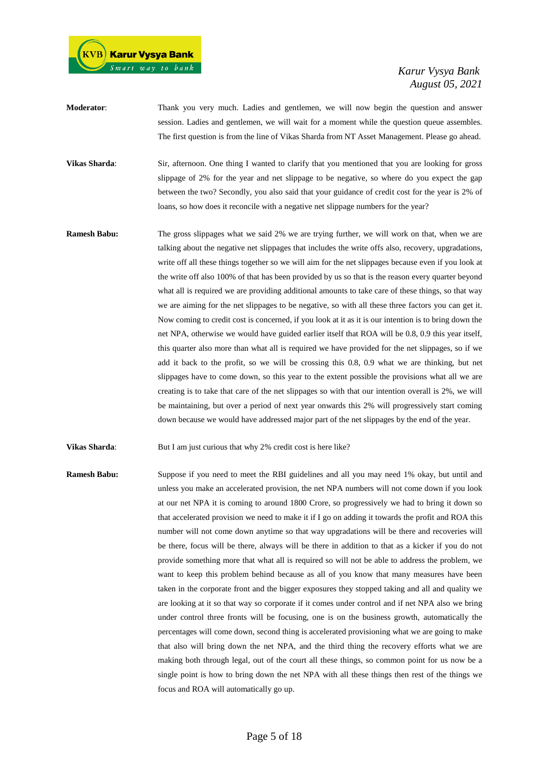

- **Moderator**: Thank you very much. Ladies and gentlemen, we will now begin the question and answer session. Ladies and gentlemen, we will wait for a moment while the question queue assembles. The first question is from the line of Vikas Sharda from NT Asset Management. Please go ahead.
- **Vikas Sharda:** Sir, afternoon. One thing I wanted to clarify that you mentioned that you are looking for gross slippage of 2% for the year and net slippage to be negative, so where do you expect the gap between the two? Secondly, you also said that your guidance of credit cost for the year is 2% of loans, so how does it reconcile with a negative net slippage numbers for the year?
- **Ramesh Babu:** The gross slippages what we said 2% we are trying further, we will work on that, when we are talking about the negative net slippages that includes the write offs also, recovery, upgradations, write off all these things together so we will aim for the net slippages because even if you look at the write off also 100% of that has been provided by us so that is the reason every quarter beyond what all is required we are providing additional amounts to take care of these things, so that way we are aiming for the net slippages to be negative, so with all these three factors you can get it. Now coming to credit cost is concerned, if you look at it as it is our intention is to bring down the net NPA, otherwise we would have guided earlier itself that ROA will be 0.8, 0.9 this year itself, this quarter also more than what all is required we have provided for the net slippages, so if we add it back to the profit, so we will be crossing this 0.8, 0.9 what we are thinking, but net slippages have to come down, so this year to the extent possible the provisions what all we are creating is to take that care of the net slippages so with that our intention overall is 2%, we will be maintaining, but over a period of next year onwards this 2% will progressively start coming down because we would have addressed major part of the net slippages by the end of the year.

**Vikas Sharda:** But I am just curious that why 2% credit cost is here like?

**Ramesh Babu:** Suppose if you need to meet the RBI guidelines and all you may need 1% okay, but until and unless you make an accelerated provision, the net NPA numbers will not come down if you look at our net NPA it is coming to around 1800 Crore, so progressively we had to bring it down so that accelerated provision we need to make it if I go on adding it towards the profit and ROA this number will not come down anytime so that way upgradations will be there and recoveries will be there, focus will be there, always will be there in addition to that as a kicker if you do not provide something more that what all is required so will not be able to address the problem, we want to keep this problem behind because as all of you know that many measures have been taken in the corporate front and the bigger exposures they stopped taking and all and quality we are looking at it so that way so corporate if it comes under control and if net NPA also we bring under control three fronts will be focusing, one is on the business growth, automatically the percentages will come down, second thing is accelerated provisioning what we are going to make that also will bring down the net NPA, and the third thing the recovery efforts what we are making both through legal, out of the court all these things, so common point for us now be a single point is how to bring down the net NPA with all these things then rest of the things we focus and ROA will automatically go up.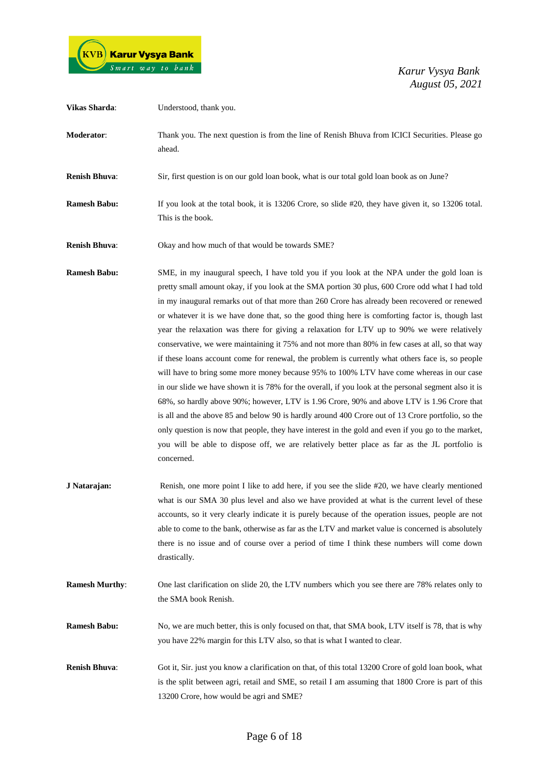

| <b>Vikas Sharda:</b>  | Understood, thank you.                                                                                                                                                                                                                                                                                                                                                                                                                                                                                                                                                                                                                                                                                                                                                                                                                                                                                                                                                                                                                                                                                                                                                                                                                                                                                                              |
|-----------------------|-------------------------------------------------------------------------------------------------------------------------------------------------------------------------------------------------------------------------------------------------------------------------------------------------------------------------------------------------------------------------------------------------------------------------------------------------------------------------------------------------------------------------------------------------------------------------------------------------------------------------------------------------------------------------------------------------------------------------------------------------------------------------------------------------------------------------------------------------------------------------------------------------------------------------------------------------------------------------------------------------------------------------------------------------------------------------------------------------------------------------------------------------------------------------------------------------------------------------------------------------------------------------------------------------------------------------------------|
| Moderator:            | Thank you. The next question is from the line of Renish Bhuva from ICICI Securities. Please go<br>ahead.                                                                                                                                                                                                                                                                                                                                                                                                                                                                                                                                                                                                                                                                                                                                                                                                                                                                                                                                                                                                                                                                                                                                                                                                                            |
| <b>Renish Bhuva:</b>  | Sir, first question is on our gold loan book, what is our total gold loan book as on June?                                                                                                                                                                                                                                                                                                                                                                                                                                                                                                                                                                                                                                                                                                                                                                                                                                                                                                                                                                                                                                                                                                                                                                                                                                          |
| <b>Ramesh Babu:</b>   | If you look at the total book, it is 13206 Crore, so slide #20, they have given it, so 13206 total.<br>This is the book.                                                                                                                                                                                                                                                                                                                                                                                                                                                                                                                                                                                                                                                                                                                                                                                                                                                                                                                                                                                                                                                                                                                                                                                                            |
| <b>Renish Bhuva:</b>  | Okay and how much of that would be towards SME?                                                                                                                                                                                                                                                                                                                                                                                                                                                                                                                                                                                                                                                                                                                                                                                                                                                                                                                                                                                                                                                                                                                                                                                                                                                                                     |
| <b>Ramesh Babu:</b>   | SME, in my inaugural speech, I have told you if you look at the NPA under the gold loan is<br>pretty small amount okay, if you look at the SMA portion 30 plus, 600 Crore odd what I had told<br>in my inaugural remarks out of that more than 260 Crore has already been recovered or renewed<br>or whatever it is we have done that, so the good thing here is comforting factor is, though last<br>year the relaxation was there for giving a relaxation for LTV up to 90% we were relatively<br>conservative, we were maintaining it 75% and not more than 80% in few cases at all, so that way<br>if these loans account come for renewal, the problem is currently what others face is, so people<br>will have to bring some more money because 95% to 100% LTV have come whereas in our case<br>in our slide we have shown it is 78% for the overall, if you look at the personal segment also it is<br>68%, so hardly above 90%; however, LTV is 1.96 Crore, 90% and above LTV is 1.96 Crore that<br>is all and the above 85 and below 90 is hardly around 400 Crore out of 13 Crore portfolio, so the<br>only question is now that people, they have interest in the gold and even if you go to the market,<br>you will be able to dispose off, we are relatively better place as far as the JL portfolio is<br>concerned. |
| J Natarajan:          | Renish, one more point I like to add here, if you see the slide #20, we have clearly mentioned<br>what is our SMA 30 plus level and also we have provided at what is the current level of these<br>accounts, so it very clearly indicate it is purely because of the operation issues, people are not<br>able to come to the bank, otherwise as far as the LTV and market value is concerned is absolutely<br>there is no issue and of course over a period of time I think these numbers will come down<br>drastically.                                                                                                                                                                                                                                                                                                                                                                                                                                                                                                                                                                                                                                                                                                                                                                                                            |
| <b>Ramesh Murthy:</b> | One last clarification on slide 20, the LTV numbers which you see there are 78% relates only to<br>the SMA book Renish.                                                                                                                                                                                                                                                                                                                                                                                                                                                                                                                                                                                                                                                                                                                                                                                                                                                                                                                                                                                                                                                                                                                                                                                                             |
| <b>Ramesh Babu:</b>   | No, we are much better, this is only focused on that, that SMA book, LTV itself is 78, that is why<br>you have 22% margin for this LTV also, so that is what I wanted to clear.                                                                                                                                                                                                                                                                                                                                                                                                                                                                                                                                                                                                                                                                                                                                                                                                                                                                                                                                                                                                                                                                                                                                                     |
| <b>Renish Bhuva:</b>  | Got it, Sir. just you know a clarification on that, of this total 13200 Crore of gold loan book, what<br>is the split between agri, retail and SME, so retail I am assuming that 1800 Crore is part of this<br>13200 Crore, how would be agri and SME?                                                                                                                                                                                                                                                                                                                                                                                                                                                                                                                                                                                                                                                                                                                                                                                                                                                                                                                                                                                                                                                                              |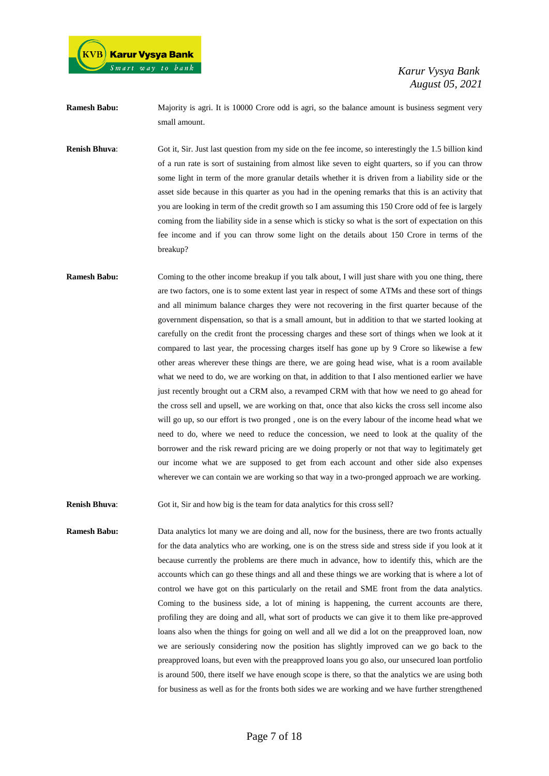

**Ramesh Babu:** Majority is agri. It is 10000 Crore odd is agri, so the balance amount is business segment very small amount.

**Renish Bhuva**: Got it, Sir. Just last question from my side on the fee income, so interestingly the 1.5 billion kind of a run rate is sort of sustaining from almost like seven to eight quarters, so if you can throw some light in term of the more granular details whether it is driven from a liability side or the asset side because in this quarter as you had in the opening remarks that this is an activity that you are looking in term of the credit growth so I am assuming this 150 Crore odd of fee is largely coming from the liability side in a sense which is sticky so what is the sort of expectation on this fee income and if you can throw some light on the details about 150 Crore in terms of the breakup?

**Ramesh Babu:** Coming to the other income breakup if you talk about, I will just share with you one thing, there are two factors, one is to some extent last year in respect of some ATMs and these sort of things and all minimum balance charges they were not recovering in the first quarter because of the government dispensation, so that is a small amount, but in addition to that we started looking at carefully on the credit front the processing charges and these sort of things when we look at it compared to last year, the processing charges itself has gone up by 9 Crore so likewise a few other areas wherever these things are there, we are going head wise, what is a room available what we need to do, we are working on that, in addition to that I also mentioned earlier we have just recently brought out a CRM also, a revamped CRM with that how we need to go ahead for the cross sell and upsell, we are working on that, once that also kicks the cross sell income also will go up, so our effort is two pronged , one is on the every labour of the income head what we need to do, where we need to reduce the concession, we need to look at the quality of the borrower and the risk reward pricing are we doing properly or not that way to legitimately get our income what we are supposed to get from each account and other side also expenses wherever we can contain we are working so that way in a two-pronged approach we are working.

**Renish Bhuva:** Got it, Sir and how big is the team for data analytics for this cross sell?

**Ramesh Babu:** Data analytics lot many we are doing and all, now for the business, there are two fronts actually for the data analytics who are working, one is on the stress side and stress side if you look at it because currently the problems are there much in advance, how to identify this, which are the accounts which can go these things and all and these things we are working that is where a lot of control we have got on this particularly on the retail and SME front from the data analytics. Coming to the business side, a lot of mining is happening, the current accounts are there, profiling they are doing and all, what sort of products we can give it to them like pre-approved loans also when the things for going on well and all we did a lot on the preapproved loan, now we are seriously considering now the position has slightly improved can we go back to the preapproved loans, but even with the preapproved loans you go also, our unsecured loan portfolio is around 500, there itself we have enough scope is there, so that the analytics we are using both for business as well as for the fronts both sides we are working and we have further strengthened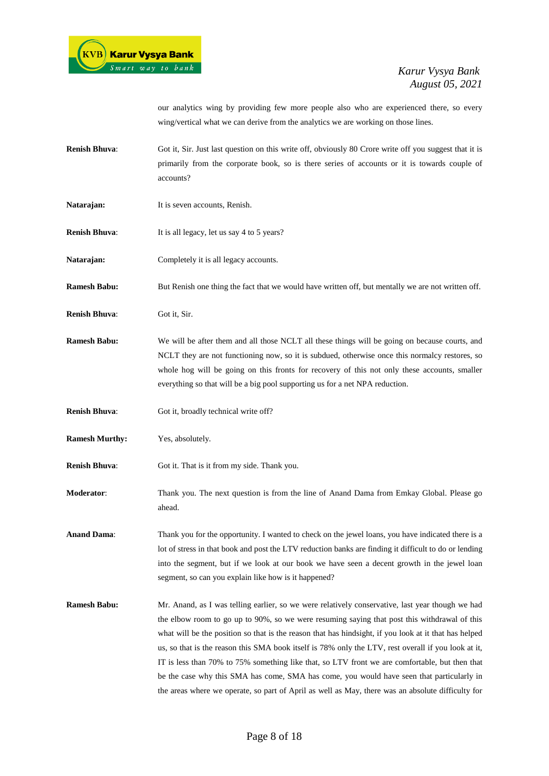

our analytics wing by providing few more people also who are experienced there, so every wing/vertical what we can derive from the analytics we are working on those lines.

- **Renish Bhuva**: Got it, Sir. Just last question on this write off, obviously 80 Crore write off you suggest that it is primarily from the corporate book, so is there series of accounts or it is towards couple of accounts?
- Natarajan: It is seven accounts, Renish.
- **Renish Bhuva:** It is all legacy, let us say 4 to 5 years?
- Natarajan: Completely it is all legacy accounts.
- **Ramesh Babu:** But Renish one thing the fact that we would have written off, but mentally we are not written off.
- **Renish Bhuva**: Got it, Sir.
- **Ramesh Babu:** We will be after them and all those NCLT all these things will be going on because courts, and NCLT they are not functioning now, so it is subdued, otherwise once this normalcy restores, so whole hog will be going on this fronts for recovery of this not only these accounts, smaller everything so that will be a big pool supporting us for a net NPA reduction.
- **Renish Bhuva:** Got it, broadly technical write off?
- **Ramesh Murthy:** Yes, absolutely.
- **Renish Bhuva**: Got it. That is it from my side. Thank you.
- **Moderator**: Thank you. The next question is from the line of Anand Dama from Emkay Global. Please go ahead.
- **Anand Dama**: Thank you for the opportunity. I wanted to check on the jewel loans, you have indicated there is a lot of stress in that book and post the LTV reduction banks are finding it difficult to do or lending into the segment, but if we look at our book we have seen a decent growth in the jewel loan segment, so can you explain like how is it happened?
- **Ramesh Babu:** Mr. Anand, as I was telling earlier, so we were relatively conservative, last year though we had the elbow room to go up to 90%, so we were resuming saying that post this withdrawal of this what will be the position so that is the reason that has hindsight, if you look at it that has helped us, so that is the reason this SMA book itself is 78% only the LTV, rest overall if you look at it, IT is less than 70% to 75% something like that, so LTV front we are comfortable, but then that be the case why this SMA has come, SMA has come, you would have seen that particularly in the areas where we operate, so part of April as well as May, there was an absolute difficulty for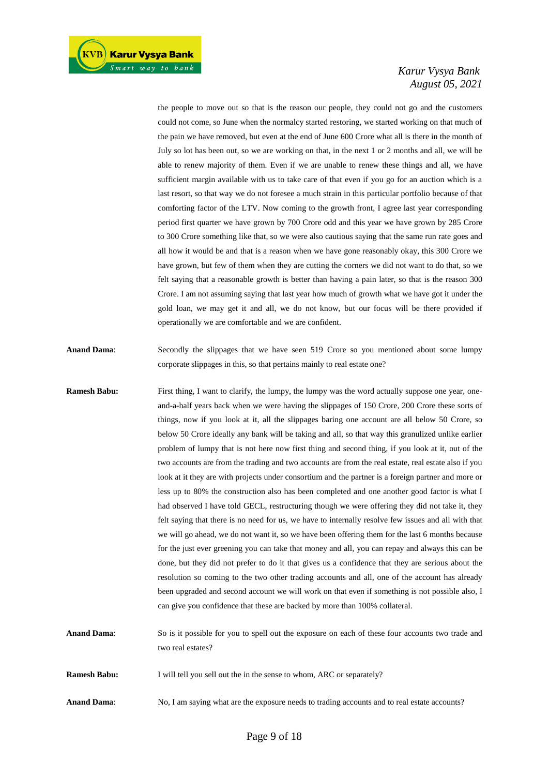the people to move out so that is the reason our people, they could not go and the customers could not come, so June when the normalcy started restoring, we started working on that much of the pain we have removed, but even at the end of June 600 Crore what all is there in the month of July so lot has been out, so we are working on that, in the next 1 or 2 months and all, we will be able to renew majority of them. Even if we are unable to renew these things and all, we have sufficient margin available with us to take care of that even if you go for an auction which is a last resort, so that way we do not foresee a much strain in this particular portfolio because of that comforting factor of the LTV. Now coming to the growth front, I agree last year corresponding period first quarter we have grown by 700 Crore odd and this year we have grown by 285 Crore to 300 Crore something like that, so we were also cautious saying that the same run rate goes and all how it would be and that is a reason when we have gone reasonably okay, this 300 Crore we have grown, but few of them when they are cutting the corners we did not want to do that, so we felt saying that a reasonable growth is better than having a pain later, so that is the reason 300 Crore. I am not assuming saying that last year how much of growth what we have got it under the gold loan, we may get it and all, we do not know, but our focus will be there provided if operationally we are comfortable and we are confident.

- **Anand Dama:** Secondly the slippages that we have seen 519 Crore so you mentioned about some lumpy corporate slippages in this, so that pertains mainly to real estate one?
- **Ramesh Babu:** First thing, I want to clarify, the lumpy, the lumpy was the word actually suppose one year, oneand-a-half years back when we were having the slippages of 150 Crore, 200 Crore these sorts of things, now if you look at it, all the slippages baring one account are all below 50 Crore, so below 50 Crore ideally any bank will be taking and all, so that way this granulized unlike earlier problem of lumpy that is not here now first thing and second thing, if you look at it, out of the two accounts are from the trading and two accounts are from the real estate, real estate also if you look at it they are with projects under consortium and the partner is a foreign partner and more or less up to 80% the construction also has been completed and one another good factor is what I had observed I have told GECL, restructuring though we were offering they did not take it, they felt saying that there is no need for us, we have to internally resolve few issues and all with that we will go ahead, we do not want it, so we have been offering them for the last 6 months because for the just ever greening you can take that money and all, you can repay and always this can be done, but they did not prefer to do it that gives us a confidence that they are serious about the resolution so coming to the two other trading accounts and all, one of the account has already been upgraded and second account we will work on that even if something is not possible also, I can give you confidence that these are backed by more than 100% collateral.

**Anand Dama**: So is it possible for you to spell out the exposure on each of these four accounts two trade and two real estates?

**Ramesh Babu:** I will tell you sell out the in the sense to whom, ARC or separately?

Anand Dama: No, I am saying what are the exposure needs to trading accounts and to real estate accounts?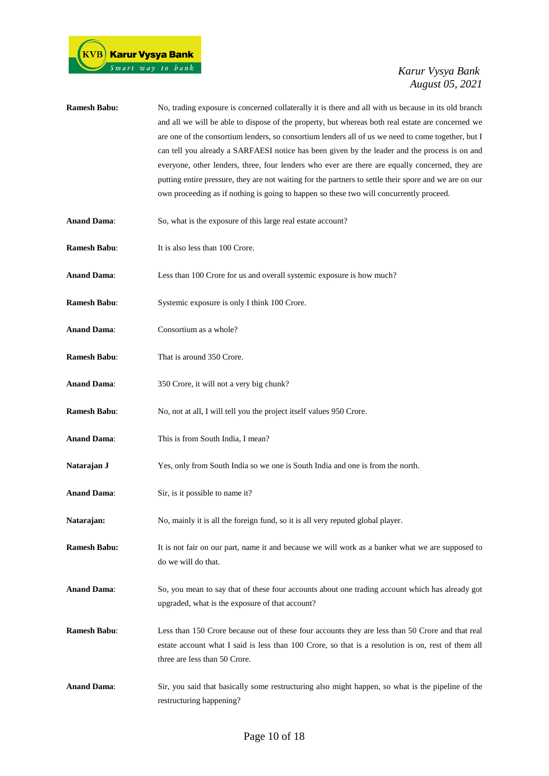| <b>Ramesh Babu:</b> | No, trading exposure is concerned collaterally it is there and all with us because in its old branch<br>and all we will be able to dispose of the property, but whereas both real estate are concerned we<br>are one of the consortium lenders, so consortium lenders all of us we need to come together, but I<br>can tell you already a SARFAESI notice has been given by the leader and the process is on and<br>everyone, other lenders, three, four lenders who ever are there are equally concerned, they are<br>putting entire pressure, they are not waiting for the partners to settle their spore and we are on our<br>own proceeding as if nothing is going to happen so these two will concurrently proceed. |
|---------------------|--------------------------------------------------------------------------------------------------------------------------------------------------------------------------------------------------------------------------------------------------------------------------------------------------------------------------------------------------------------------------------------------------------------------------------------------------------------------------------------------------------------------------------------------------------------------------------------------------------------------------------------------------------------------------------------------------------------------------|
| <b>Anand Dama:</b>  | So, what is the exposure of this large real estate account?                                                                                                                                                                                                                                                                                                                                                                                                                                                                                                                                                                                                                                                              |
| <b>Ramesh Babu:</b> | It is also less than 100 Crore.                                                                                                                                                                                                                                                                                                                                                                                                                                                                                                                                                                                                                                                                                          |
| <b>Anand Dama:</b>  | Less than 100 Crore for us and overall systemic exposure is how much?                                                                                                                                                                                                                                                                                                                                                                                                                                                                                                                                                                                                                                                    |
| <b>Ramesh Babu:</b> | Systemic exposure is only I think 100 Crore.                                                                                                                                                                                                                                                                                                                                                                                                                                                                                                                                                                                                                                                                             |
| <b>Anand Dama:</b>  | Consortium as a whole?                                                                                                                                                                                                                                                                                                                                                                                                                                                                                                                                                                                                                                                                                                   |
| <b>Ramesh Babu:</b> | That is around 350 Crore.                                                                                                                                                                                                                                                                                                                                                                                                                                                                                                                                                                                                                                                                                                |
| <b>Anand Dama:</b>  | 350 Crore, it will not a very big chunk?                                                                                                                                                                                                                                                                                                                                                                                                                                                                                                                                                                                                                                                                                 |
| <b>Ramesh Babu:</b> | No, not at all, I will tell you the project itself values 950 Crore.                                                                                                                                                                                                                                                                                                                                                                                                                                                                                                                                                                                                                                                     |
| <b>Anand Dama:</b>  | This is from South India, I mean?                                                                                                                                                                                                                                                                                                                                                                                                                                                                                                                                                                                                                                                                                        |
| Natarajan J         | Yes, only from South India so we one is South India and one is from the north.                                                                                                                                                                                                                                                                                                                                                                                                                                                                                                                                                                                                                                           |
| <b>Anand Dama:</b>  | Sir, is it possible to name it?                                                                                                                                                                                                                                                                                                                                                                                                                                                                                                                                                                                                                                                                                          |
| Natarajan:          | No, mainly it is all the foreign fund, so it is all very reputed global player.                                                                                                                                                                                                                                                                                                                                                                                                                                                                                                                                                                                                                                          |
| <b>Ramesh Babu:</b> | It is not fair on our part, name it and because we will work as a banker what we are supposed to<br>do we will do that.                                                                                                                                                                                                                                                                                                                                                                                                                                                                                                                                                                                                  |
| <b>Anand Dama:</b>  | So, you mean to say that of these four accounts about one trading account which has already got<br>upgraded, what is the exposure of that account?                                                                                                                                                                                                                                                                                                                                                                                                                                                                                                                                                                       |
| <b>Ramesh Babu:</b> | Less than 150 Crore because out of these four accounts they are less than 50 Crore and that real<br>estate account what I said is less than 100 Crore, so that is a resolution is on, rest of them all<br>three are less than 50 Crore.                                                                                                                                                                                                                                                                                                                                                                                                                                                                                  |
| <b>Anand Dama:</b>  | Sir, you said that basically some restructuring also might happen, so what is the pipeline of the<br>restructuring happening?                                                                                                                                                                                                                                                                                                                                                                                                                                                                                                                                                                                            |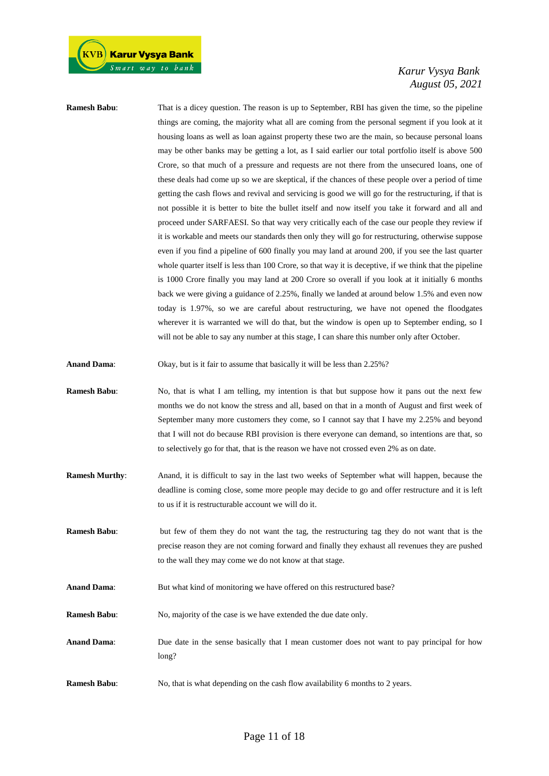**Ramesh Babu:** That is a dicey question. The reason is up to September, RBI has given the time, so the pipeline things are coming, the majority what all are coming from the personal segment if you look at it housing loans as well as loan against property these two are the main, so because personal loans may be other banks may be getting a lot, as I said earlier our total portfolio itself is above 500 Crore, so that much of a pressure and requests are not there from the unsecured loans, one of these deals had come up so we are skeptical, if the chances of these people over a period of time getting the cash flows and revival and servicing is good we will go for the restructuring, if that is not possible it is better to bite the bullet itself and now itself you take it forward and all and proceed under SARFAESI. So that way very critically each of the case our people they review if it is workable and meets our standards then only they will go for restructuring, otherwise suppose even if you find a pipeline of 600 finally you may land at around 200, if you see the last quarter whole quarter itself is less than 100 Crore, so that way it is deceptive, if we think that the pipeline is 1000 Crore finally you may land at 200 Crore so overall if you look at it initially 6 months back we were giving a guidance of 2.25%, finally we landed at around below 1.5% and even now today is 1.97%, so we are careful about restructuring, we have not opened the floodgates wherever it is warranted we will do that, but the window is open up to September ending, so I will not be able to say any number at this stage, I can share this number only after October.

**Anand Dama:** Okay, but is it fair to assume that basically it will be less than 2.25%?

- **Ramesh Babu**: No, that is what I am telling, my intention is that but suppose how it pans out the next few months we do not know the stress and all, based on that in a month of August and first week of September many more customers they come, so I cannot say that I have my 2.25% and beyond that I will not do because RBI provision is there everyone can demand, so intentions are that, so to selectively go for that, that is the reason we have not crossed even 2% as on date.
- **Ramesh Murthy**: Anand, it is difficult to say in the last two weeks of September what will happen, because the deadline is coming close, some more people may decide to go and offer restructure and it is left to us if it is restructurable account we will do it.
- **Ramesh Babu**: but few of them they do not want the tag, the restructuring tag they do not want that is the precise reason they are not coming forward and finally they exhaust all revenues they are pushed to the wall they may come we do not know at that stage.
- **Anand Dama:** But what kind of monitoring we have offered on this restructured base?
- **Ramesh Babu:** No, majority of the case is we have extended the due date only.
- **Anand Dama:** Due date in the sense basically that I mean customer does not want to pay principal for how long?
- **Ramesh Babu:** No, that is what depending on the cash flow availability 6 months to 2 years.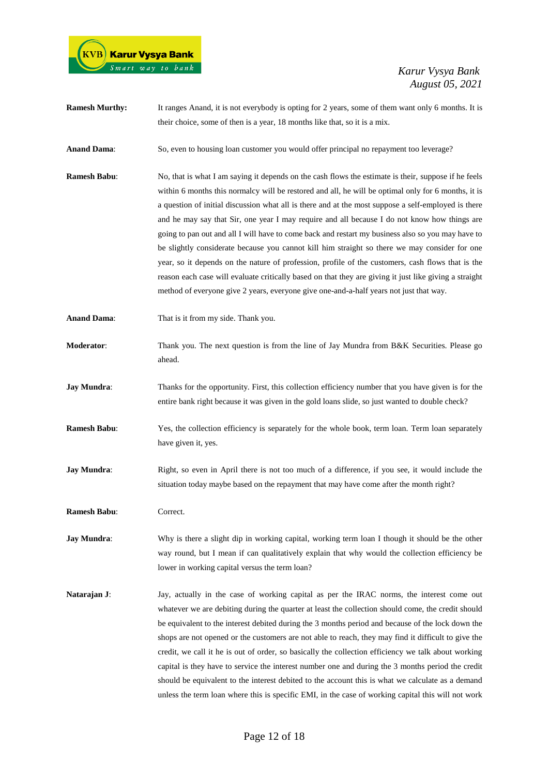

**Ramesh Murthy:** It ranges Anand, it is not everybody is opting for 2 years, some of them want only 6 months. It is their choice, some of then is a year, 18 months like that, so it is a mix.

**Anand Dama**: So, even to housing loan customer you would offer principal no repayment too leverage?

- **Ramesh Babu:** No, that is what I am saying it depends on the cash flows the estimate is their, suppose if he feels within 6 months this normalcy will be restored and all, he will be optimal only for 6 months, it is a question of initial discussion what all is there and at the most suppose a self-employed is there and he may say that Sir, one year I may require and all because I do not know how things are going to pan out and all I will have to come back and restart my business also so you may have to be slightly considerate because you cannot kill him straight so there we may consider for one year, so it depends on the nature of profession, profile of the customers, cash flows that is the reason each case will evaluate critically based on that they are giving it just like giving a straight method of everyone give 2 years, everyone give one-and-a-half years not just that way.
- **Anand Dama**: That is it from my side. Thank you.
- **Moderator:** Thank you. The next question is from the line of Jay Mundra from B&K Securities. Please go ahead.
- **Jay Mundra:** Thanks for the opportunity. First, this collection efficiency number that you have given is for the entire bank right because it was given in the gold loans slide, so just wanted to double check?
- **Ramesh Babu**: Yes, the collection efficiency is separately for the whole book, term loan. Term loan separately have given it, yes.
- **Jay Mundra:** Right, so even in April there is not too much of a difference, if you see, it would include the situation today maybe based on the repayment that may have come after the month right?
- **Ramesh Babu**: Correct.
- **Jay Mundra:** Why is there a slight dip in working capital, working term loan I though it should be the other way round, but I mean if can qualitatively explain that why would the collection efficiency be lower in working capital versus the term loan?
- **Natarajan J:** Jay, actually in the case of working capital as per the IRAC norms, the interest come out whatever we are debiting during the quarter at least the collection should come, the credit should be equivalent to the interest debited during the 3 months period and because of the lock down the shops are not opened or the customers are not able to reach, they may find it difficult to give the credit, we call it he is out of order, so basically the collection efficiency we talk about working capital is they have to service the interest number one and during the 3 months period the credit should be equivalent to the interest debited to the account this is what we calculate as a demand unless the term loan where this is specific EMI, in the case of working capital this will not work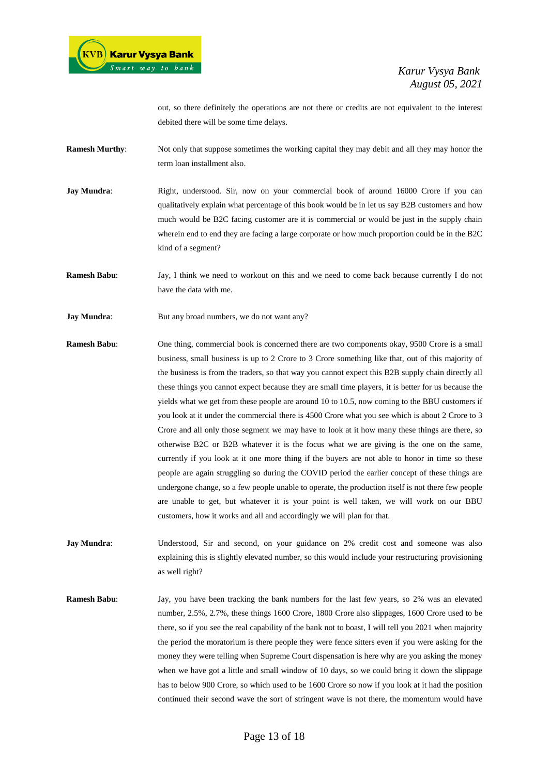out, so there definitely the operations are not there or credits are not equivalent to the interest debited there will be some time delays.

- **Ramesh Murthy:** Not only that suppose sometimes the working capital they may debit and all they may honor the term loan installment also.
- **Jay Mundra:** Right, understood. Sir, now on your commercial book of around 16000 Crore if you can qualitatively explain what percentage of this book would be in let us say B2B customers and how much would be B2C facing customer are it is commercial or would be just in the supply chain wherein end to end they are facing a large corporate or how much proportion could be in the B2C kind of a segment?
- **Ramesh Babu**: Jay, I think we need to workout on this and we need to come back because currently I do not have the data with me.
- **Jay Mundra:** But any broad numbers, we do not want any?
- **Ramesh Babu**: One thing, commercial book is concerned there are two components okay, 9500 Crore is a small business, small business is up to 2 Crore to 3 Crore something like that, out of this majority of the business is from the traders, so that way you cannot expect this B2B supply chain directly all these things you cannot expect because they are small time players, it is better for us because the yields what we get from these people are around 10 to 10.5, now coming to the BBU customers if you look at it under the commercial there is 4500 Crore what you see which is about 2 Crore to 3 Crore and all only those segment we may have to look at it how many these things are there, so otherwise B2C or B2B whatever it is the focus what we are giving is the one on the same, currently if you look at it one more thing if the buyers are not able to honor in time so these people are again struggling so during the COVID period the earlier concept of these things are undergone change, so a few people unable to operate, the production itself is not there few people are unable to get, but whatever it is your point is well taken, we will work on our BBU customers, how it works and all and accordingly we will plan for that.
- **Jay Mundra**: Understood, Sir and second, on your guidance on 2% credit cost and someone was also explaining this is slightly elevated number, so this would include your restructuring provisioning as well right?
- **Ramesh Babu**: Jay, you have been tracking the bank numbers for the last few years, so 2% was an elevated number, 2.5%, 2.7%, these things 1600 Crore, 1800 Crore also slippages, 1600 Crore used to be there, so if you see the real capability of the bank not to boast, I will tell you 2021 when majority the period the moratorium is there people they were fence sitters even if you were asking for the money they were telling when Supreme Court dispensation is here why are you asking the money when we have got a little and small window of 10 days, so we could bring it down the slippage has to below 900 Crore, so which used to be 1600 Crore so now if you look at it had the position continued their second wave the sort of stringent wave is not there, the momentum would have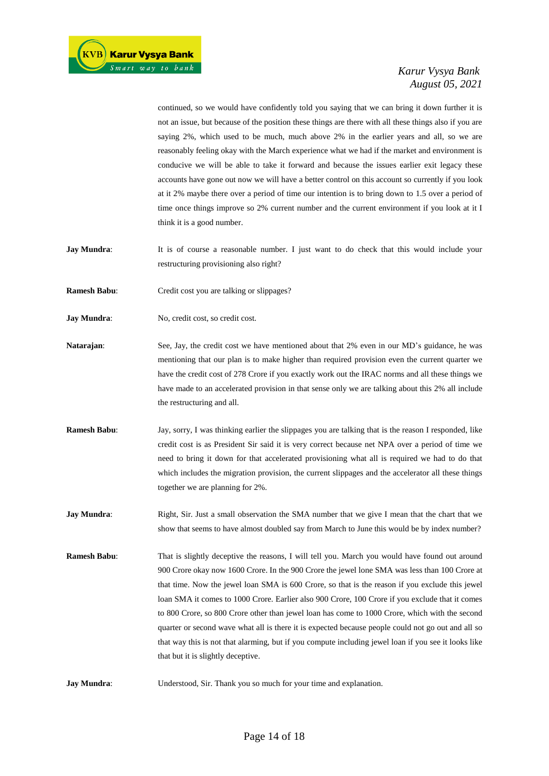continued, so we would have confidently told you saying that we can bring it down further it is not an issue, but because of the position these things are there with all these things also if you are saying 2%, which used to be much, much above 2% in the earlier years and all, so we are reasonably feeling okay with the March experience what we had if the market and environment is conducive we will be able to take it forward and because the issues earlier exit legacy these accounts have gone out now we will have a better control on this account so currently if you look at it 2% maybe there over a period of time our intention is to bring down to 1.5 over a period of time once things improve so 2% current number and the current environment if you look at it I think it is a good number.

- **Jay Mundra:** It is of course a reasonable number. I just want to do check that this would include your restructuring provisioning also right?
- **Ramesh Babu:** Credit cost you are talking or slippages?
- **Jay Mundra:** No, credit cost, so credit cost.
- **Natarajan:** See, Jay, the credit cost we have mentioned about that 2% even in our MD's guidance, he was mentioning that our plan is to make higher than required provision even the current quarter we have the credit cost of 278 Crore if you exactly work out the IRAC norms and all these things we have made to an accelerated provision in that sense only we are talking about this 2% all include the restructuring and all.
- **Ramesh Babu**: Jay, sorry, I was thinking earlier the slippages you are talking that is the reason I responded, like credit cost is as President Sir said it is very correct because net NPA over a period of time we need to bring it down for that accelerated provisioning what all is required we had to do that which includes the migration provision, the current slippages and the accelerator all these things together we are planning for 2%.
- **Jay Mundra:** Right, Sir. Just a small observation the SMA number that we give I mean that the chart that we show that seems to have almost doubled say from March to June this would be by index number?
- **Ramesh Babu**: That is slightly deceptive the reasons, I will tell you. March you would have found out around 900 Crore okay now 1600 Crore. In the 900 Crore the jewel lone SMA was less than 100 Crore at that time. Now the jewel loan SMA is 600 Crore, so that is the reason if you exclude this jewel loan SMA it comes to 1000 Crore. Earlier also 900 Crore, 100 Crore if you exclude that it comes to 800 Crore, so 800 Crore other than jewel loan has come to 1000 Crore, which with the second quarter or second wave what all is there it is expected because people could not go out and all so that way this is not that alarming, but if you compute including jewel loan if you see it looks like that but it is slightly deceptive.
- **Jay Mundra:** Understood, Sir. Thank you so much for your time and explanation.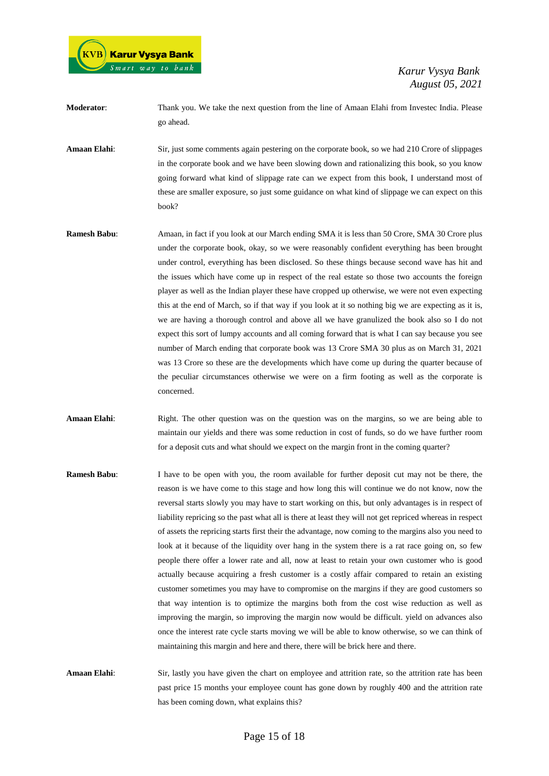

**Moderator**: Thank you. We take the next question from the line of Amaan Elahi from Investec India. Please go ahead.

**Amaan Elahi**: Sir, just some comments again pestering on the corporate book, so we had 210 Crore of slippages in the corporate book and we have been slowing down and rationalizing this book, so you know going forward what kind of slippage rate can we expect from this book, I understand most of these are smaller exposure, so just some guidance on what kind of slippage we can expect on this book?

- **Ramesh Babu**: Amaan, in fact if you look at our March ending SMA it is less than 50 Crore, SMA 30 Crore plus under the corporate book, okay, so we were reasonably confident everything has been brought under control, everything has been disclosed. So these things because second wave has hit and the issues which have come up in respect of the real estate so those two accounts the foreign player as well as the Indian player these have cropped up otherwise, we were not even expecting this at the end of March, so if that way if you look at it so nothing big we are expecting as it is, we are having a thorough control and above all we have granulized the book also so I do not expect this sort of lumpy accounts and all coming forward that is what I can say because you see number of March ending that corporate book was 13 Crore SMA 30 plus as on March 31, 2021 was 13 Crore so these are the developments which have come up during the quarter because of the peculiar circumstances otherwise we were on a firm footing as well as the corporate is concerned.
- **Amaan Elahi:** Right. The other question was on the question was on the margins, so we are being able to maintain our yields and there was some reduction in cost of funds, so do we have further room for a deposit cuts and what should we expect on the margin front in the coming quarter?
- **Ramesh Babu**: I have to be open with you, the room available for further deposit cut may not be there, the reason is we have come to this stage and how long this will continue we do not know, now the reversal starts slowly you may have to start working on this, but only advantages is in respect of liability repricing so the past what all is there at least they will not get repriced whereas in respect of assets the repricing starts first their the advantage, now coming to the margins also you need to look at it because of the liquidity over hang in the system there is a rat race going on, so few people there offer a lower rate and all, now at least to retain your own customer who is good actually because acquiring a fresh customer is a costly affair compared to retain an existing customer sometimes you may have to compromise on the margins if they are good customers so that way intention is to optimize the margins both from the cost wise reduction as well as improving the margin, so improving the margin now would be difficult. yield on advances also once the interest rate cycle starts moving we will be able to know otherwise, so we can think of maintaining this margin and here and there, there will be brick here and there.
- **Amaan Elahi:** Sir, lastly you have given the chart on employee and attrition rate, so the attrition rate has been past price 15 months your employee count has gone down by roughly 400 and the attrition rate has been coming down, what explains this?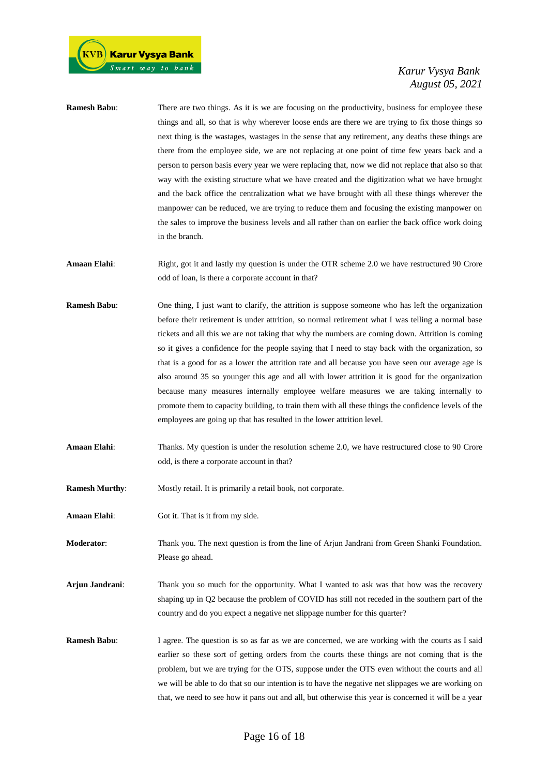| <b>Ramesh Babu:</b>   | There are two things. As it is we are focusing on the productivity, business for employee these<br>things and all, so that is why wherever loose ends are there we are trying to fix those things so<br>next thing is the wastages, wastages in the sense that any retirement, any deaths these things are<br>there from the employee side, we are not replacing at one point of time few years back and a<br>person to person basis every year we were replacing that, now we did not replace that also so that<br>way with the existing structure what we have created and the digitization what we have brought<br>and the back office the centralization what we have brought with all these things wherever the<br>manpower can be reduced, we are trying to reduce them and focusing the existing manpower on<br>the sales to improve the business levels and all rather than on earlier the back office work doing<br>in the branch. |
|-----------------------|---------------------------------------------------------------------------------------------------------------------------------------------------------------------------------------------------------------------------------------------------------------------------------------------------------------------------------------------------------------------------------------------------------------------------------------------------------------------------------------------------------------------------------------------------------------------------------------------------------------------------------------------------------------------------------------------------------------------------------------------------------------------------------------------------------------------------------------------------------------------------------------------------------------------------------------------|
| Amaan Elahi:          | Right, got it and lastly my question is under the OTR scheme 2.0 we have restructured 90 Crore<br>odd of loan, is there a corporate account in that?                                                                                                                                                                                                                                                                                                                                                                                                                                                                                                                                                                                                                                                                                                                                                                                        |
| <b>Ramesh Babu:</b>   | One thing, I just want to clarify, the attrition is suppose someone who has left the organization<br>before their retirement is under attrition, so normal retirement what I was telling a normal base<br>tickets and all this we are not taking that why the numbers are coming down. Attrition is coming<br>so it gives a confidence for the people saying that I need to stay back with the organization, so<br>that is a good for as a lower the attrition rate and all because you have seen our average age is<br>also around 35 so younger this age and all with lower attrition it is good for the organization<br>because many measures internally employee welfare measures we are taking internally to<br>promote them to capacity building, to train them with all these things the confidence levels of the<br>employees are going up that has resulted in the lower attrition level.                                          |
| Amaan Elahi:          | Thanks. My question is under the resolution scheme 2.0, we have restructured close to 90 Crore<br>odd, is there a corporate account in that?                                                                                                                                                                                                                                                                                                                                                                                                                                                                                                                                                                                                                                                                                                                                                                                                |
| <b>Ramesh Murthy:</b> | Mostly retail. It is primarily a retail book, not corporate.                                                                                                                                                                                                                                                                                                                                                                                                                                                                                                                                                                                                                                                                                                                                                                                                                                                                                |
| Amaan Elahi:          | Got it. That is it from my side.                                                                                                                                                                                                                                                                                                                                                                                                                                                                                                                                                                                                                                                                                                                                                                                                                                                                                                            |

**Moderator**: Thank you. The next question is from the line of Arjun Jandrani from Green Shanki Foundation. Please go ahead.

**Arjun Jandrani**: Thank you so much for the opportunity. What I wanted to ask was that how was the recovery shaping up in Q2 because the problem of COVID has still not receded in the southern part of the country and do you expect a negative net slippage number for this quarter?

**Ramesh Babu:** I agree. The question is so as far as we are concerned, we are working with the courts as I said earlier so these sort of getting orders from the courts these things are not coming that is the problem, but we are trying for the OTS, suppose under the OTS even without the courts and all we will be able to do that so our intention is to have the negative net slippages we are working on that, we need to see how it pans out and all, but otherwise this year is concerned it will be a year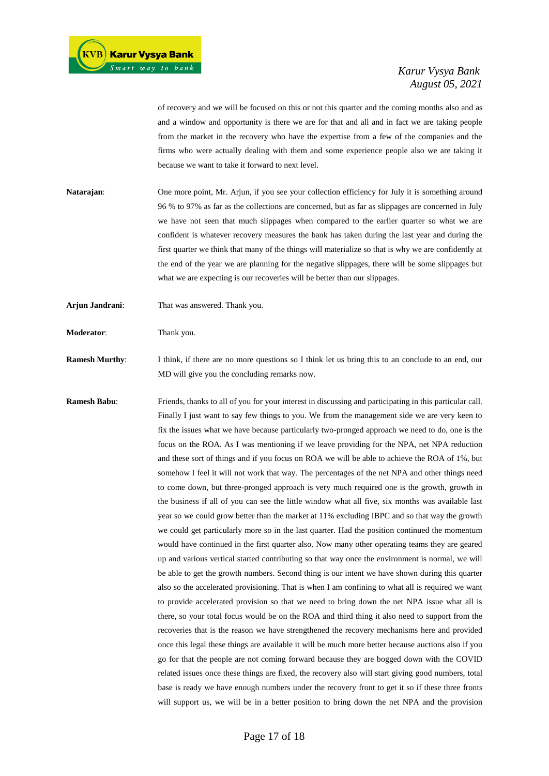of recovery and we will be focused on this or not this quarter and the coming months also and as and a window and opportunity is there we are for that and all and in fact we are taking people from the market in the recovery who have the expertise from a few of the companies and the firms who were actually dealing with them and some experience people also we are taking it because we want to take it forward to next level.

- **Natarajan:** One more point, Mr. Arjun, if you see your collection efficiency for July it is something around 96 % to 97% as far as the collections are concerned, but as far as slippages are concerned in July we have not seen that much slippages when compared to the earlier quarter so what we are confident is whatever recovery measures the bank has taken during the last year and during the first quarter we think that many of the things will materialize so that is why we are confidently at the end of the year we are planning for the negative slippages, there will be some slippages but what we are expecting is our recoveries will be better than our slippages.
- **Arjun Jandrani**: That was answered. Thank you.

**Moderator:** Thank you.

**Ramesh Murthy:** I think, if there are no more questions so I think let us bring this to an conclude to an end, our MD will give you the concluding remarks now.

**Ramesh Babu**: Friends, thanks to all of you for your interest in discussing and participating in this particular call. Finally I just want to say few things to you. We from the management side we are very keen to fix the issues what we have because particularly two-pronged approach we need to do, one is the focus on the ROA. As I was mentioning if we leave providing for the NPA, net NPA reduction and these sort of things and if you focus on ROA we will be able to achieve the ROA of 1%, but somehow I feel it will not work that way. The percentages of the net NPA and other things need to come down, but three-pronged approach is very much required one is the growth, growth in the business if all of you can see the little window what all five, six months was available last year so we could grow better than the market at 11% excluding IBPC and so that way the growth we could get particularly more so in the last quarter. Had the position continued the momentum would have continued in the first quarter also. Now many other operating teams they are geared up and various vertical started contributing so that way once the environment is normal, we will be able to get the growth numbers. Second thing is our intent we have shown during this quarter also so the accelerated provisioning. That is when I am confining to what all is required we want to provide accelerated provision so that we need to bring down the net NPA issue what all is there, so your total focus would be on the ROA and third thing it also need to support from the recoveries that is the reason we have strengthened the recovery mechanisms here and provided once this legal these things are available it will be much more better because auctions also if you go for that the people are not coming forward because they are bogged down with the COVID related issues once these things are fixed, the recovery also will start giving good numbers, total base is ready we have enough numbers under the recovery front to get it so if these three fronts will support us, we will be in a better position to bring down the net NPA and the provision